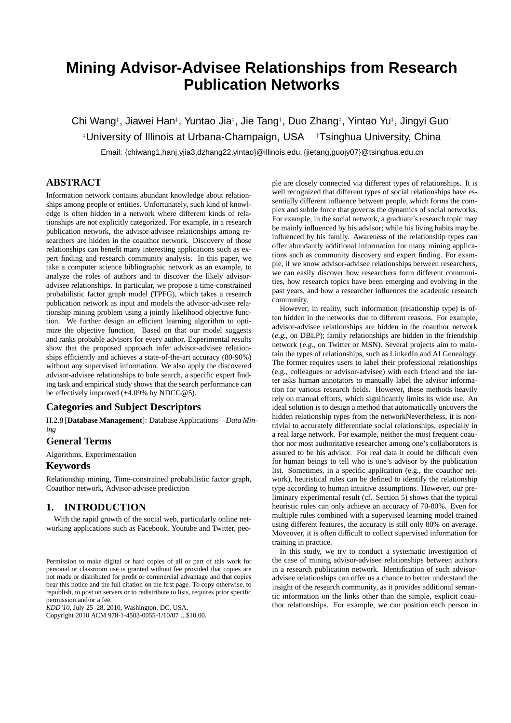# **Mining Advisor-Advisee Relationships from Research Publication Networks**

Chi Wang<sup>‡</sup>, Jiawei Han<sup>‡</sup>, Yuntao Jia‡, Jie Tang<sup>†</sup>, Duo Zhang‡, Yintao Yu‡, Jingyi Guo† ‡University of Illinois at Urbana-Champaign, USA †Tsinghua University, China

Email: {chiwang1,hanj,yjia3,dzhang22,yintao}@illinois.edu, {jietang,guojy07}@tsinghua.edu.cn

# **ABSTRACT**

Information network contains abundant knowledge about relationships among people or entities. Unfortunately, such kind of knowledge is often hidden in a network where different kinds of relationships are not explicitly categorized. For example, in a research publication network, the advisor-advisee relationships among researchers are hidden in the coauthor network. Discovery of those relationships can benefit many interesting applications such as expert finding and research community analysis. In this paper, we take a computer science bibliographic network as an example, to analyze the roles of authors and to discover the likely advisoradvisee relationships. In particular, we propose a time-constrained probabilistic factor graph model (TPFG), which takes a research publication network as input and models the advisor-advisee relationship mining problem using a jointly likelihood objective function. We further design an efficient learning algorithm to optimize the objective function. Based on that our model suggests and ranks probable advisors for every author. Experimental results show that the proposed approach infer advisor-advisee relationships efficiently and achieves a state-of-the-art accuracy (80-90%) without any supervised information. We also apply the discovered advisor-advisee relationships to bole search, a specific expert finding task and empirical study shows that the search performance can be effectively improved (+4.09% by NDCG@5).

# **Categories and Subject Descriptors**

H.2.8 [**Database Management**]: Database Applications—*Data Mining*

# **General Terms**

Algorithms, Experimentation

# **Keywords**

Relationship mining, Time-constrained probabilistic factor graph, Coauthor network, Advisor-advisee prediction

# **1. INTRODUCTION**

With the rapid growth of the social web, particularly online networking applications such as Facebook, Youtube and Twitter, peo-

*KDD'10,* July 25–28, 2010, Washington, DC, USA.

Copyright 2010 ACM 978-1-4503-0055-1/10/07 ...\$10.00.

ple are closely connected via different types of relationships. It is well recognized that different types of social relationships have essentially different influence between people, which forms the complex and subtle force that governs the dynamics of social networks. For example, in the social network, a graduate's research topic may be mainly influenced by his advisor; while his living habits may be influenced by his family. Awareness of the relationship types can offer abundantly additional information for many mining applications such as community discovery and expert finding. For example, if we know advisor-advisee relationships between researchers, we can easily discover how researchers form different communities, how research topics have been emerging and evolving in the past years, and how a researcher influences the academic research community.

However, in reality, such information (relationship type) is often hidden in the networks due to different reasons. For example, advisor-advisee relationships are hidden in the coauthor network (e.g., on DBLP); family relationships are hidden in the friendship network (e.g., on Twitter or MSN). Several projects aim to maintain the types of relationships, such as LinkedIn and AI Genealogy. The former requires users to label their professional relationships (e.g., colleagues or advisor-advisee) with each friend and the latter asks human annotators to manually label the advisor information for various research fields. However, these methods heavily rely on manual efforts, which significantly limits its wide use. An ideal solution is to design a method that automatically uncovers the hidden relationship types from the networkNevertheless, it is nontrivial to accurately differentiate social relationships, especially in a real large network. For example, neither the most frequent coauthor nor most authoritative researcher among one's collaborators is assured to be his advisor. For real data it could be difficult even for human beings to tell who is one's advisor by the publication list. Sometimes, in a specific application (e.g., the coauthor network), heuristical rules can be defined to identify the relationship type according to human intuitive assumptions. However, our preliminary experimental result (cf. Section 5) shows that the typical heuristic rules can only achieve an accuracy of 70-80%. Even for multiple rules combined with a supervised learning model trained using different features, the accuracy is still only 80% on average. Moveover, it is often difficult to collect supervised information for training in practice.

In this study, we try to conduct a systematic investigation of the case of mining advisor-advisee relationships between authors in a research publication network. Identification of such advisoradvisee relationships can offer us a chance to better understand the insight of the research community, as it provides additional semantic information on the links other than the simple, explicit coauthor relationships. For example, we can position each person in

Permission to make digital or hard copies of all or part of this work for personal or classroom use is granted without fee provided that copies are not made or distributed for profit or commercial advantage and that copies bear this notice and the full citation on the first page. To copy otherwise, to republish, to post on servers or to redistribute to lists, requires prior specific permission and/or a fee.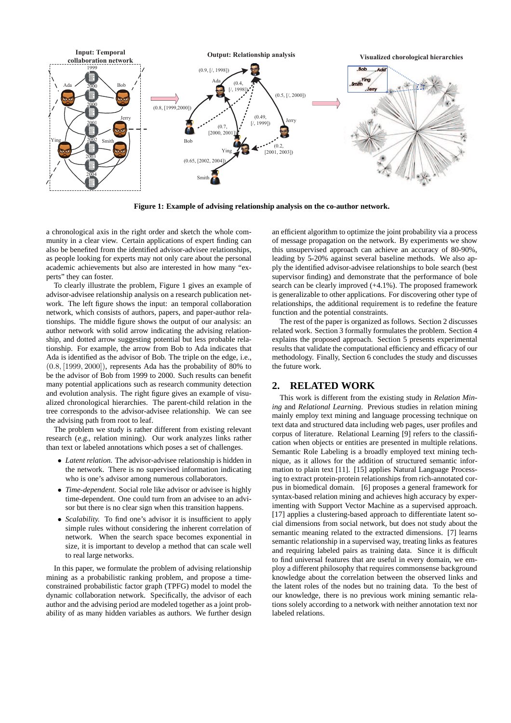

**Figure 1: Example of advising relationship analysis on the co-author network.**

a chronological axis in the right order and sketch the whole community in a clear view. Certain applications of expert finding can also be benefited from the identified advisor-advisee relationships, as people looking for experts may not only care about the personal academic achievements but also are interested in how many "experts" they can foster.

To clearly illustrate the problem, Figure 1 gives an example of advisor-advisee relationship analysis on a research publication network. The left figure shows the input: an temporal collaboration network, which consists of authors, papers, and paper-author relationships. The middle figure shows the output of our analysis: an author network with solid arrow indicating the advising relationship, and dotted arrow suggesting potential but less probable relationship. For example, the arrow from Bob to Ada indicates that Ada is identified as the advisor of Bob. The triple on the edge, i.e.,  $(0.8, [1999, 2000])$ , represents Ada has the probability of 80% to be the advisor of Bob from 1999 to 2000. Such results can benefit many potential applications such as research community detection and evolution analysis. The right figure gives an example of visualized chronological hierarchies. The parent-child relation in the tree corresponds to the advisor-advisee relationship. We can see the advising path from root to leaf.

The problem we study is rather different from existing relevant research (e.g., relation mining). Our work analyzes links rather than text or labeled annotations which poses a set of challenges.

- *Latent relation.* The advisor-advisee relationship is hidden in the network. There is no supervised information indicating who is one's advisor among numerous collaborators.
- *Time-dependent.* Social role like advisor or advisee is highly time-dependent. One could turn from an advisee to an advisor but there is no clear sign when this transition happens.
- *Scalability*. To find one's advisor it is insufficient to apply simple rules without considering the inherent correlation of network. When the search space becomes exponential in size, it is important to develop a method that can scale well to real large networks.

In this paper, we formulate the problem of advising relationship mining as a probabilistic ranking problem, and propose a timeconstrained probabilistic factor graph (TPFG) model to model the dynamic collaboration network. Specifically, the advisor of each author and the advising period are modeled together as a joint probability of as many hidden variables as authors. We further design

an efficient algorithm to optimize the joint probability via a process of message propagation on the network. By experiments we show this unsupervised approach can achieve an accuracy of 80-90%, leading by 5-20% against several baseline methods. We also apply the identified advisor-advisee relationships to bole search (best supervisor finding) and demonstrate that the performance of bole search can be clearly improved (+4.1%). The proposed framework is generalizable to other applications. For discovering other type of relationships, the additional requirement is to redefine the feature function and the potential constraints.

The rest of the paper is organized as follows. Section 2 discusses related work. Section 3 formally formulates the problem. Section 4 explains the proposed approach. Section 5 presents experimental results that validate the computational efficiency and efficacy of our methodology. Finally, Section 6 concludes the study and discusses the future work.

## **2. RELATED WORK**

This work is different from the existing study in *Relation Mining* and *Relational Learning*. Previous studies in relation mining mainly employ text mining and language processing technique on text data and structured data including web pages, user profiles and corpus of literature. Relational Learning [9] refers to the classification when objects or entities are presented in multiple relations. Semantic Role Labeling is a broadly employed text mining technique, as it allows for the addition of structured semantic information to plain text [11]. [15] applies Natural Language Processing to extract protein-protein relationships from rich-annotated corpus in biomedical domain. [6] proposes a general framework for syntax-based relation mining and achieves high accuracy by experimenting with Support Vector Machine as a supervised approach. [17] applies a clustering-based approach to differentiate latent social dimensions from social network, but does not study about the semantic meaning related to the extracted dimensions. [7] learns semantic relationship in a supervised way, treating links as features and requiring labeled pairs as training data. Since it is difficult to find universal features that are useful in every domain, we employ a different philosophy that requires commonsense background knowledge about the correlation between the observed links and the latent roles of the nodes but no training data. To the best of our knowledge, there is no previous work mining semantic relations solely according to a network with neither annotation text nor labeled relations.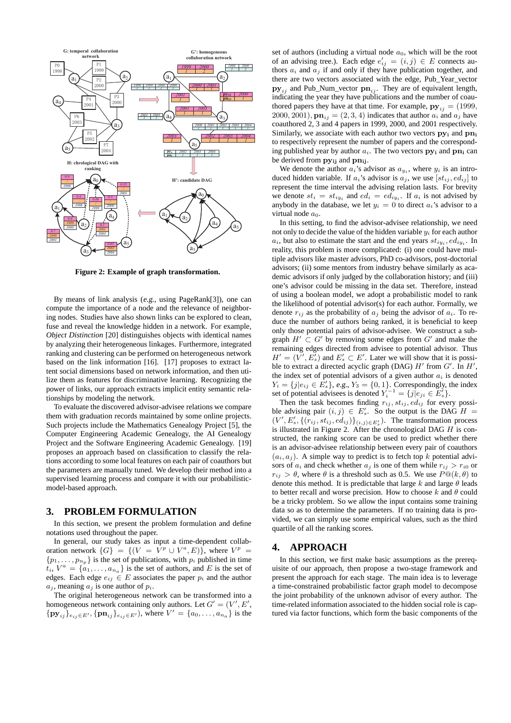

**Figure 2: Example of graph transformation.**

By means of link analysis (e.g., using PageRank[3]), one can compute the importance of a node and the relevance of neighboring nodes. Studies have also shown links can be explored to clean, fuse and reveal the knowledge hidden in a network. For example, *Object Distinction* [20] distinguishes objects with identical names by analyzing their heterogeneous linkages. Furthermore, integrated ranking and clustering can be performed on heterogeneous network based on the link information [16]. [17] proposes to extract latent social dimensions based on network information, and then utilize them as features for discriminative learning. Recognizing the power of links, our approach extracts implicit entity semantic relationships by modeling the network.

To evaluate the discovered advisor-advisee relations we compare them with graduation records maintained by some online projects. Such projects include the Mathematics Genealogy Project [5], the Computer Engineering Academic Genealogy, the AI Genealogy Project and the Software Engineering Academic Genealogy. [19] proposes an approach based on classification to classify the relations according to some local features on each pair of coauthors but the parameters are manually tuned. We develop their method into a supervised learning process and compare it with our probabilisticmodel-based approach.

# **3. PROBLEM FORMULATION**

In this section, we present the problem formulation and define notations used throughout the paper.

In general, our study takes as input a time-dependent collaboration network  $\{G\} = \{ (V = V^p \cup V^a, E) \}$ , where  $V^p =$  $\{p_1, \ldots, p_{n_p}\}\$ is the set of publications, with  $p_i$  published in time  $t_i$ ,  $V^a = \{a_1, \ldots, a_{n_a}\}\$ is the set of authors, and E is the set of edges. Each edge  $e_{ij} \in E$  associates the paper  $p_i$  and the author  $a_j$ , meaning  $a_j$  is one author of  $p_i$ .

The original heterogeneous network can be transformed into a homogeneous network containing only authors. Let  $G' = (V', E', \mathcal{F}')$  $\{py_{ij}\}_{e_{ij} \in E'}$ ,  $\{pn_{ij}\}_{e_{ij} \in E'}$ ), where  $V' = \{a_0, \ldots, a_{n_a}\}\$ is the

set of authors (including a virtual node  $a_0$ , which will be the root of an advising tree.). Each edge  $e'_{ij} = (i, j) \in E$  connects authors  $a_i$  and  $a_j$  if and only if they have publication together, and there are two vectors associated with the edge, Pub\_Year\_vector  $\mathbf{p} \mathbf{y}_{ij}$  and Pub\_Num\_vector  $\mathbf{p} \mathbf{n}_{ij}$ . They are of equivalent length, indicating the year they have publications and the number of coauthored papers they have at that time. For example,  $\mathbf{py}_{ij} = (1999,$ 2000, 2001),  $\mathbf{p}_i = (2, 3, 4)$  indicates that author  $a_i$  and  $a_j$  have coauthored 2, 3 and 4 papers in 1999, 2000, and 2001 respectively. Similarly, we associate with each author two vectors  $py_i$  and  $pn_i$ to respectively represent the number of papers and the corresponding published year by author  $a_i$ . The two vectors  $py_i$  and  $pn_i$  can be derived from  $py_{ij}$  and  $pn_{ij}$ .

We denote the author  $a_i$ 's advisor as  $a_{y_i}$ , where  $y_i$  is an introduced hidden variable. If  $a_i$ 's advisor is  $a_j$ , we use  $[st_{ij}, ed_{ij}]$  to represent the time interval the advising relation lasts. For brevity we denote  $st_i = st_{iy_i}$  and  $ed_i = ed_{iy_i}$ . If  $a_i$  is not advised by anybody in the database, we let  $y_i = 0$  to direct  $a_i$ 's advisor to a virtual node  $a_0$ .

In this setting, to find the advisor-advisee relationship, we need not only to decide the value of the hidden variable  $y_i$  for each author  $a_i$ , but also to estimate the start and the end years  $st_{iy_i}, ed_{iy_i}$ . In reality, this problem is more complicated: (i) one could have multiple advisors like master advisors, PhD co-advisors, post-doctorial advisors; (ii) some mentors from industry behave similarly as academic advisors if only judged by the collaboration history; and (iii) one's advisor could be missing in the data set. Therefore, instead of using a boolean model, we adopt a probabilistic model to rank the likelihood of potential advisor(s) for each author. Formally, we denote  $r_{ij}$  as the probability of  $a_j$  being the advisor of  $a_i$ . To reduce the number of authors being ranked, it is beneficial to keep only those potential pairs of advisor-advisee. We construct a subgraph  $H' \subset G'$  by removing some edges from  $G'$  and make the remaining edges directed from advisee to potential advisor. Thus  $H' = (V', E'_{s})$  and  $E'_{s} \subset E'$ . Later we will show that it is possible to extract a directed acyclic graph (DAG)  $H'$  from  $G'$ . In  $H'$ , the index set of potential advisors of a given author  $a_i$  is denoted  $Y_i = \{j|e_{ij} \in \overline{E}'_s\}$ , e.g.,  $Y_3 = \{0, 1\}$ . Correspondingly, the index set of potential advisees is denoted  $Y_i^{-1} = \{j|e_{ji} \in E'_s\}.$ 

Then the task becomes finding  $r_{ij}$ ,  $st_{ij}$ ,  $ed_{ij}$  for every possible advising pair  $(i, j) \in E'_s$ . So the output is the DAG  $H =$  $(V', E'_s, \{(r_{ij}, st_{ij}, ed_{ij})\}_{(i,j)\in E'_s})$ . The transformation process is illustrated in Figure 2. After the chronological DAG  $H$  is constructed, the ranking score can be used to predict whether there is an advisor-advisee relationship between every pair of coauthors  $(a_i, a_j)$ . A simple way to predict is to fetch top k potential advisors of  $a_i$  and check whether  $a_j$  is one of them while  $r_{ij} > r_{i0}$  or  $r_{ij} > \theta$ , where  $\theta$  is a threshold such as 0.5. We use  $P@(k, \theta)$  to denote this method. It is predictable that large  $k$  and large  $\theta$  leads to better recall and worse precision. How to choose  $k$  and  $\theta$  could be a tricky problem. So we allow the input contains some training data so as to determine the parameters. If no training data is provided, we can simply use some empirical values, such as the third quartile of all the ranking scores.

# **4. APPROACH**

In this section, we first make basic assumptions as the prerequisite of our approach, then propose a two-stage framework and present the approach for each stage. The main idea is to leverage a time-constrained probabilistic factor graph model to decompose the joint probability of the unknown advisor of every author. The time-related information associated to the hidden social role is captured via factor functions, which form the basic components of the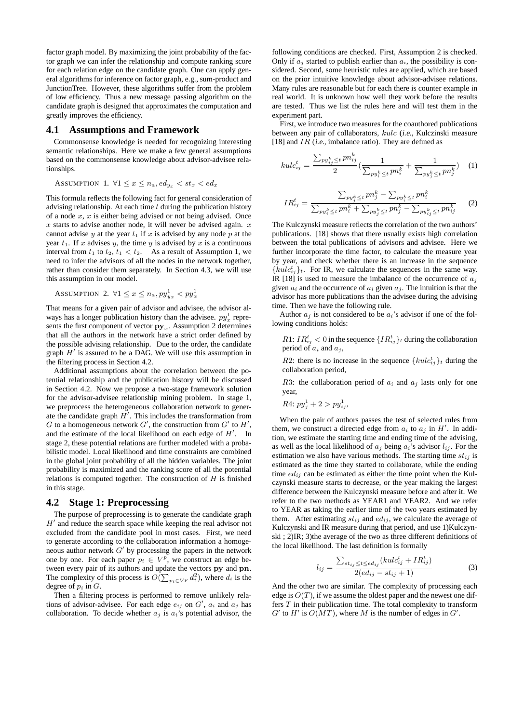factor graph model. By maximizing the joint probability of the factor graph we can infer the relationship and compute ranking score for each relation edge on the candidate graph. One can apply general algorithms for inference on factor graph, e.g., sum-product and JunctionTree. However, these algorithms suffer from the problem of low efficiency. Thus a new message passing algorithm on the candidate graph is designed that approximates the computation and greatly improves the efficiency.

## **4.1 Assumptions and Framework**

Commonsense knowledge is needed for recognizing interesting semantic relationships. Here we make a few general assumptions based on the commonsense knowledge about advisor-advisee relationships.

ASSUMPTION 1.  $\forall 1 \leq x \leq n_a, ed_{y_x} < st_x < ed_x$ 

This formula reflects the following fact for general consideration of advising relationship. At each time  $t$  during the publication history of a node  $x, x$  is either being advised or not being advised. Once  $x$  starts to advise another node, it will never be advised again.  $x$ cannot advise y at the year  $t_1$  if x is advised by any node p at the year  $t_1$ . If x advises y, the time y is advised by x is a continuous interval from  $t_1$  to  $t_2$ ,  $t_1 < t_2$ . As a result of Assumption 1, we need to infer the advisors of all the nodes in the network together, rather than consider them separately. In Section 4.3, we will use this assumption in our model.

ASSUMPTION 2.  $\forall 1 \leq x \leq n_a, py_{yx}^1 < py_{xy}^1$ 

That means for a given pair of advisor and advisee, the advisor always has a longer publication history than the advisee.  $py_x^1$  represents the first component of vector  $py_x$ . Assumption 2 determines that all the authors in the network have a strict order defined by the possible advising relationship. Due to the order, the candidate graph  $H'$  is assured to be a DAG. We will use this assumption in the filtering process in Section 4.2.

Additional assumptions about the correlation between the potential relationship and the publication history will be discussed in Section 4.2. Now we propose a two-stage framework solution for the advisor-advisee relationship mining problem. In stage 1, we preprocess the heterogeneous collaboration network to generate the candidate graph  $H'$ . This includes the transformation from G to a homogeneous network  $G'$ , the construction from  $G'$  to  $H'$ , and the estimate of the local likelihood on each edge of  $H'$ . In stage 2, these potential relations are further modeled with a probabilistic model. Local likelihood and time constraints are combined in the global joint probability of all the hidden variables. The joint probability is maximized and the ranking score of all the potential relations is computed together. The construction of  $H$  is finished in this stage.

#### **4.2 Stage 1: Preprocessing**

The purpose of preprocessing is to generate the candidate graph  $H'$  and reduce the search space while keeping the real advisor not excluded from the candidate pool in most cases. First, we need to generate according to the collaboration information a homogeneous author network  $G'$  by processing the papers in the network one by one. For each paper  $p_i \in V^p$ , we construct an edge between every pair of its authors and update the vectors py and pn. The complexity of this process is  $O(\sum_{p_i \in V^p} d_i^2)$ , where  $d_i$  is the degree of  $p_i$  in  $G$ .

Then a filtering process is performed to remove unlikely relations of advisor-advisee. For each edge  $e_{ij}$  on  $G'$ ,  $a_i$  and  $a_j$  has collaboration. To decide whether  $a_j$  is  $a_i$ 's potential advisor, the

following conditions are checked. First, Assumption 2 is checked. Only if  $a_j$  started to publish earlier than  $a_i$ , the possibility is considered. Second, some heuristic rules are applied, which are based on the prior intuitive knowledge about advisor-advisee relations. Many rules are reasonable but for each there is counter example in real world. It is unknown how well they work before the results are tested. Thus we list the rules here and will test them in the experiment part.

First, we introduce two measures for the coauthored publications between any pair of collaborators, kulc (i.e., Kulczinski measure [18] and  $IR$  (i.e., imbalance ratio). They are defined as

$$
kulc_{ij}^{t} = \frac{\sum_{p y_{ij}^{k} \leq t} p n_{ij}^{k}}{2} \left( \frac{1}{\sum_{p y_{i}^{k} \leq t} p n_{i}^{k}} + \frac{1}{\sum_{p y_{j}^{k} \leq t} p n_{j}^{k}} \right) \quad (1)
$$

$$
IR_{ij}^{t} = \frac{\sum_{py_{j}^{k} \leq t} pn_{j}^{k} - \sum_{py_{i}^{k} \leq t} pn_{i}^{k}}{\sum_{py_{j}^{k} \leq t} pn_{i}^{k} + \sum_{py_{j}^{k} \leq t} pn_{j}^{k} - \sum_{py_{ij}^{k} \leq t} pn_{ij}^{k}} \qquad (2)
$$

The Kulczynski measure reflects the correlation of the two authors' publications. [18] shows that there usually exists high correlation between the total publications of advisors and advisee. Here we further incorporate the time factor, to calculate the measure year by year, and check whether there is an increase in the sequence  ${kulc_{ij}^t}_{t}$ . For IR, we calculate the sequences in the same way. IR [18] is used to measure the imbalance of the occurrence of  $a_i$ given  $a_i$  and the occurrence of  $a_i$  given  $a_j$ . The intuition is that the advisor has more publications than the advisee during the advising time. Then we have the following rule.

Author  $a_i$  is not considered to be  $a_i$ 's advisor if one of the following conditions holds:

*R*1: 
$$
IR_{ij}^t < 0
$$
 in the sequence  $\{IR_{ij}^t\}_t$  during the collaboration period of  $a_i$  and  $a_j$ ,

R2: there is no increase in the sequence  $\{kulc_{ij}^t\}_t$  during the collaboration period,

R3: the collaboration period of  $a_i$  and  $a_j$  lasts only for one year,

$$
R4: py_j^1 + 2 > py_{ij}^1,
$$

When the pair of authors passes the test of selected rules from them, we construct a directed edge from  $a_i$  to  $a_j$  in  $H'$ . In addition, we estimate the starting time and ending time of the advising, as well as the local likelihood of  $a_i$  being  $a_i$ 's advisor  $l_{ij}$ . For the estimation we also have various methods. The starting time  $st_{ij}$  is estimated as the time they started to collaborate, while the ending time  $ed_{ij}$  can be estimated as either the time point when the Kulczynski measure starts to decrease, or the year making the largest difference between the Kulczynski measure before and after it. We refer to the two methods as YEAR1 and YEAR2. And we refer to YEAR as taking the earlier time of the two years estimated by them. After estimating  $st_{ij}$  and  $ed_{ij}$ , we calculate the average of Kulczynski and IR measure during that period, and use 1)Kulczynski ; 2)IR; 3)the average of the two as three different definitions of the local likelihood. The last definition is formally

$$
l_{ij} = \frac{\sum_{st_{ij} \le t \le ed_{ij}} (kulc_{ij}^t + IR_{ij}^t)}{2(ed_{ij} - st_{ij} + 1)}
$$
(3)

And the other two are similar. The complexity of processing each edge is  $O(T)$ , if we assume the oldest paper and the newest one differs  $T$  in their publication time. The total complexity to transform  $G'$  to  $H'$  is  $O(MT)$ , where M is the number of edges in  $G'$ .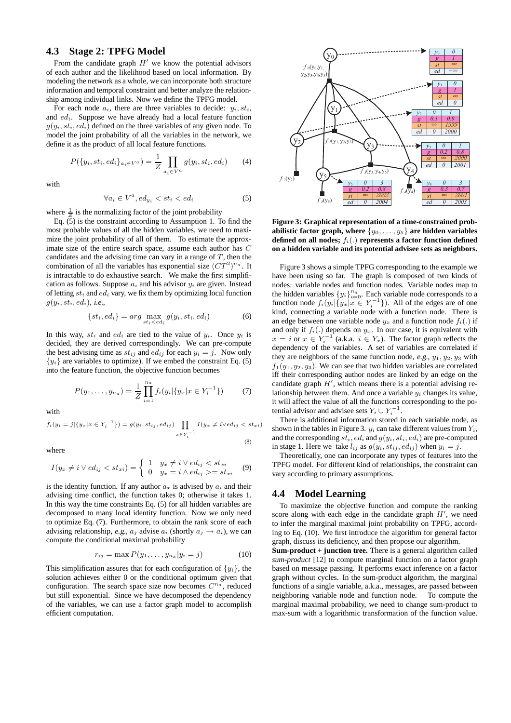# **4.3 Stage 2: TPFG Model**

From the candidate graph  $H'$  we know the potential advisors of each author and the likelihood based on local information. By modeling the network as a whole, we can incorporate both structure information and temporal constraint and better analyze the relationship among individual links. Now we define the TPFG model.

For each node  $a_i$ , there are three variables to decide:  $y_i, st_i$ , and  $ed_i$ . Suppose we have already had a local feature function  $g(y_i, st_i, ed_i)$  defined on the three variables of any given node. To model the joint probability of all the variables in the network, we define it as the product of all local feature functions.

$$
P({y_i, st_i, ed_i}_{a_i \in V^a}) = \frac{1}{Z} \prod_{a_i \in V^a} g(y_i, st_i, ed_i)
$$
 (4)

with

$$
\forall a_i \in V^a, ed_{y_i} < st_i < ed_i \tag{5}
$$

where  $\frac{1}{Z}$  is the normalizing factor of the joint probability

Eq. (5) is the constraint according to Assumption 1. To find the most probable values of all the hidden variables, we need to maximize the joint probability of all of them. To estimate the approximate size of the entire search space, assume each author has C candidates and the advising time can vary in a range of  $T$ , then the combination of all the variables has exponential size  $(CT^2)^{n_a}$ . It is intractable to do exhaustive search. We make the first simplification as follows. Suppose  $a_i$  and his advisor  $y_i$  are given. Instead of letting  $st_i$  and  $ed_i$  vary, we fix them by optimizing local function  $g(y_i, st_i, ed_i)$ , i.e.,

$$
\{st_i, ed_i\} = arg \max_{st_i < ed_i} g(y_i, st_i, ed_i) \tag{6}
$$

In this way,  $st_i$  and  $ed_i$  are tied to the value of  $y_i$ . Once  $y_i$  is decided, they are derived correspondingly. We can pre-compute the best advising time as  $st_{ij}$  and  $ed_{ij}$  for each  $y_i = j$ . Now only  ${y_i}$  are variables to optimize). If we embed the constraint Eq. (5) into the feature function, the objective function becomes

$$
P(y_1, \ldots, y_{n_a}) = \frac{1}{Z} \prod_{i=1}^{n_a} f_i(y_i | \{y_x | x \in Y_i^{-1}\}) \tag{7}
$$

with

$$
f_i(y_i = j | \{ y_x | x \in Y_i^{-1} \}) = g(y_i, st_{ij}, ed_{ij}) \prod_{x \in Y_i^{-1}} I(y_x \neq i \lor ed_{ij} < st_{xi})
$$
\n(8)

where

$$
I(y_x \neq i \lor ed_{ij} < st_{xi}) = \begin{cases} 1 & y_x \neq i \lor ed_{ij} < st_{xi} \\ 0 & y_x = i \land ed_{ij} >= st_{xi} \end{cases} \tag{9}
$$

is the identity function. If any author  $a_x$  is advised by  $a_i$  and their advising time conflict, the function takes 0; otherwise it takes 1. In this way the time constraints Eq. (5) for all hidden variables are decomposed to many local identity function. Now we only need to optimize Eq. (7). Furthermore, to obtain the rank score of each advising relationship, e.g.,  $a_i$  advise  $a_i$  (shortly  $a_i \rightarrow a_i$ ), we can compute the conditional maximal probability

$$
r_{ij} = \max P(y_1, \dots, y_{n_a} | y_i = j)
$$
 (10)

This simplification assures that for each configuration of  $\{y_i\}$ , the solution achieves either 0 or the conditional optimum given that configuration. The search space size now becomes  $C^{n_a}$ , reduced but still exponential. Since we have decomposed the dependency of the variables, we can use a factor graph model to accomplish efficient computation.



**Figure 3: Graphical representation of a time-constrained probabilistic factor graph, where**  $\{y_0, \ldots, y_5\}$  are hidden variables defined on all nodes;  $f_i(.)$  represents a factor function defined **on a hidden variable and its potential advisee sets as neighbors.**

Figure 3 shows a simple TPFG corresponding to the example we have been using so far. The graph is composed of two kinds of nodes: variable nodes and function nodes. Variable nodes map to the hidden variables  $\{y_i\}_{i=0}^{n_a}$ . Each variable node corresponds to a function node  $f_i(y_i | \{y_x | x \in Y_i^{-1}\})$ . All of the edges are of one kind, connecting a variable node with a function node. There is an edge between one variable node  $y_x$  and a function node  $f_i(.)$  if and only if  $f_i(.)$  depends on  $y_x$ . In our case, it is equivalent with  $x = i$  or  $x \in Y_i^{-1}$  (a.k.a.  $i \in Y_x$ ). The factor graph reflects the dependency of the variables. A set of variables are correlated if they are neighbors of the same function node, e.g.,  $y_1, y_2, y_3$  with  $f_1(y_1, y_2, y_3)$ . We can see that two hidden variables are correlated iff their corresponding author nodes are linked by an edge on the candidate graph  $H'$ , which means there is a potential advising relationship between them. And once a variable  $y_i$  changes its value, it will affect the value of all the functions corresponding to the potential advisor and advisee sets  $Y_i \cup Y_i^{-1}$ .

There is additional information stored in each variable node, as shown in the tables in Figure 3.  $y_i$  can take different values from  $Y_i$ , and the corresponding  $st_i$ ,  $ed_i$  and  $g(y_i, st_i, ed_i)$  are pre-computed in stage 1. Here we take  $l_{ij}$  as  $g(y_i, st_{ij}, ed_{ij})$  when  $y_i = j$ .

Theoretically, one can incorporate any types of features into the TPFG model. For different kind of relationships, the constraint can vary according to primary assumptions.

# **4.4 Model Learning**

To maximize the objective function and compute the ranking score along with each edge in the candidate graph  $H'$ , we need to infer the marginal maximal joint probability on TPFG, according to Eq. (10). We first introduce the algorithm for general factor graph, discuss its deficiency, and then propose our algorithm.

**Sum-product + junction tree.** There is a general algorithm called *sum-product* [12] to compute marginal function on a factor graph based on message passing. It performs exact inference on a factor graph without cycles. In the sum-product algorithm, the marginal functions of a single variable, a.k.a., messages, are passed between neighboring variable node and function node. To compute the marginal maximal probability, we need to change sum-product to max-sum with a logarithmic transformation of the function value.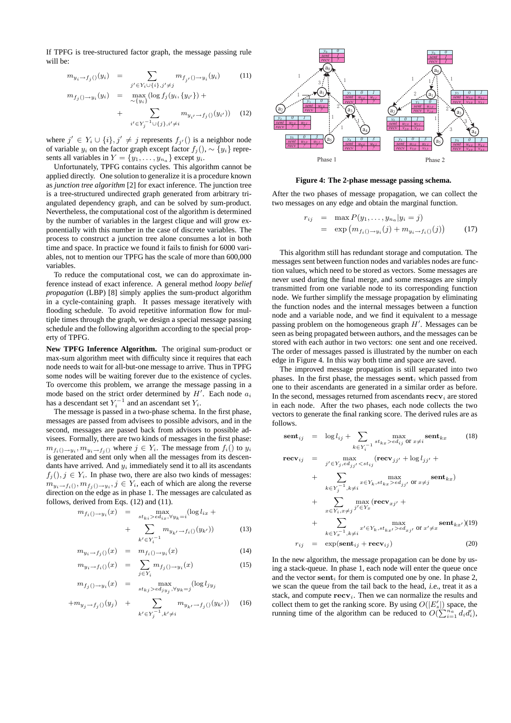If TPFG is tree-structured factor graph, the message passing rule will be:

 $\boldsymbol{m}$ 

$$
m_{y_i \to f_j()}(y_i) = \sum_{j' \in Y_i \cup \{i\}, j' \neq j} m_{f_{j'}() \to y_i}(y_i)
$$
(11)

$$
f_j() \to y_i(y_i) = \max_{\sim \{y_i\}} (\log f_j(y_i, \{y_{i'}\}) + \sum_{\text{if } y_{ij} \to f_j(y_i)} (y_{i'}))
$$
 (12)

 $i' \in Y_j^{-1} \cup \{j\}, i' \neq i$ 

where 
$$
j' \in Y_i \cup \{i\}, j' \neq j
$$
 represents  $f_{j'}()$  is a neighbor node of variable  $y_i$  on the factor graph except factor  $f_j()$ ,  $\sim \{y_i\}$  represents all variables in  $Y = \{y_1, \ldots, y_{n_\alpha}\}$  except  $y_i$ .

Unfortunately, TPFG contains cycles. This algorithm cannot be applied directly. One solution to generalize it is a procedure known as *junction tree algorithm* [2] for exact inference. The junction tree is a tree-structured undirected graph generated from arbitrary triangulated dependency graph, and can be solved by sum-product. Nevertheless, the computational cost of the algorithm is determined by the number of variables in the largest clique and will grow exponentially with this number in the case of discrete variables. The process to construct a junction tree alone consumes a lot in both time and space. In practice we found it fails to finish for 6000 variables, not to mention our TPFG has the scale of more than 600,000 variables.

To reduce the computational cost, we can do approximate inference instead of exact inference. A general method *loopy belief propagation* (LBP) [8] simply applies the sum-product algorithm in a cycle-containing graph. It passes message iteratively with flooding schedule. To avoid repetitive information flow for multiple times through the graph, we design a special message passing schedule and the following algorithm according to the special property of TPFG.

**New TPFG Inference Algorithm.** The original sum-product or max-sum algorithm meet with difficulty since it requires that each node needs to wait for all-but-one message to arrive. Thus in TPFG some nodes will be waiting forever due to the existence of cycles. To overcome this problem, we arrange the message passing in a mode based on the strict order determined by  $H'$ . Each node  $a_i$ has a descendant set  $Y_i^{-1}$  and an ascendant set  $Y_i$ .

The message is passed in a two-phase schema. In the first phase, messages are passed from advisees to possible advisors, and in the second, messages are passed back from advisors to possible advisees. Formally, there are two kinds of messages in the first phase:  $m_{f_i(\cdot \to y_i)}$ ,  $m_{y_i \to f_j(\cdot)}$  where  $j \in Y_i$ . The message from  $f_i(\cdot)$  to  $y_i$ is generated and sent only when all the messages from its descendants have arrived. And  $y_i$  immediately send it to all its ascendants  $f_i()$ ,  $i \in Y_i$ . In phase two, there are also two kinds of messages:  $m_{y_i \to f_i()}, m_{f_j() \to y_i}, j \in Y_i$ , each of which are along the reverse direction on the edge as in phase 1. The messages are calculated as follows, derived from Eqs. (12) and (11).

$$
m_{f_i() \to y_i}(x) = \max_{st_{ki} > ed_{ix}, \forall y_k = i} (\log l_{ix} + \sum_{k' \in Y_i^{-1}} m_{y_{k'} \to f_i()}(y_{k'}))
$$
(13)

$$
m_{y_i \to f_j(\cdot)}(x) = m_{f_i(\cdot) \to y_i}(x) \tag{14}
$$

$$
m_{y_i \to f_i(\mathbf{0})}(x) = \sum_{j \in Y_i} m_{f_j(\mathbf{0}) \to y_i}(x) \tag{15}
$$

$$
m_{f_j\left(\cdot\right)\to y_i}(x) = \max_{st_{kj} > ed_{jy_j}, \forall y_k = j} (\log l_{jy_j})
$$

$$
+m_{y_j \to f_j(\cdot)}(y_j) + \sum_{k' \in Y_j^{-1}, k' \neq i} m_{y_{k'} \to f_j(\cdot)}(y_{k'})) \quad (16)
$$



**Figure 4: The 2-phase message passing schema.**

After the two phases of message propagation, we can collect the two messages on any edge and obtain the marginal function.

$$
r_{ij} = \max P(y_1, ..., y_{n_a}|y_i = j)
$$
  
=  $\exp (m_{f_i()-y_i}(j) + m_{y_i \to f_i()}(j))$  (17)

This algorithm still has redundant storage and computation. The messages sent between function nodes and variables nodes are function values, which need to be stored as vectors. Some messages are never used during the final merge, and some messages are simply transmitted from one variable node to its corresponding function node. We further simplify the message propagation by eliminating the function nodes and the internal messages between a function node and a variable node, and we find it equivalent to a message passing problem on the homogeneous graph  $H'$ . Messages can be seen as being propagated between authors, and the messages can be stored with each author in two vectors: one sent and one received. The order of messages passed is illustrated by the number on each edge in Figure 4. In this way both time and space are saved.

The improved message propagation is still separated into two phases. In the first phase, the messages sent<sub>i</sub> which passed from one to their ascendants are generated in a similar order as before. In the second, messages returned from ascendants  ${\bf recv}_i$  are stored in each node. After the two phases, each node collects the two vectors to generate the final ranking score. The derived rules are as follows.

$$
\textbf{sent}_{ij} = \log l_{ij} + \sum_{k \in Y_i^{-1}} \max_{st_{kx} > ed_{ij} \text{ or } x \neq i} \textbf{sent}_{kx} \tag{18}
$$
\n
$$
\textbf{recv}_{ii} = \max_{\textbf{prev}_{ii} \text{ or } \textbf{recv}_{ii} + \log l_{ii} + \log l_{ii} + \log l_{ii} + \log l_{ii} + \log l_{ii} + \log l_{ii} + \log l_{ii} + \log l_{ii} + \log l_{ii} + \log l_{ii} + \log l_{ii} + \log l_{ii} + \log l_{ii} + \log l_{ii} + \log l_{ii} + \log l_{ii} + \log l_{ii} + \log l_{ii} + \log l_{ii} + \log l_{ii} + \log l_{ii} + \log l_{ii} + \log l_{ii} + \log l_{ii} + \log l_{ii} + \log l_{ii} + \log l_{ii} + \log l_{ii} + \log l_{ii} + \log l_{ii} + \log l_{ii} + \log l_{ii} + \log l_{ii} + \log l_{ii} + \log l_{ii} + \log l_{ii} + \log l_{ii} + \log l_{ii} + \log l_{ii} + \log l_{ii} + \log l_{ii} + \log l_{ii} + \log l_{ii} + \log l_{ii} + \log l_{ii} + \log l_{ii} + \log l_{ii} + \log l_{ii} + \log l_{ii} + \log l_{ii} + \log l_{ii} + \log l_{ii} + \log l_{ii} + \log l_{ii} + \log l_{ii} + \log l_{ii} + \log l_{ii} + \log l_{ii} + \log l_{ii} + \log l_{ii} + \log l_{ii} + \log l_{ii} + \log l_{ii} + \log l_{ii} + \log l_{ii} + \log l_{ii} + \log l_{ii} + \log l_{ii} + \log l_{ii} + \log l_{ii} + \log l_{ii} + \log l_{ii} + \log l_{ii} + \log l_{ii} + \log l_{ii} + \log l_{ii} + \log l_{ii} + \log l_{ii} + \log l_{ii} + \log l_{ii} + \log l_{ii} + \log l_{ii} + \log l_{ii} + \log l_{ii} + \log l_{ii} + \log l_{ii} + \log l_{ii} + \log l_{ii} + \log l_{ii} + \log l_{ii} + \log l_{ii} + \log l_{ii} + \log l_{ii} + \
$$

$$
j' \in Y_j, ed_{jj'} < st_{ij}
$$
\n
$$
+ \sum_{k \in Y_j^{-1}, k \neq i} \max_{x \in Y_k, st_{kx} > ed_{jj'}} \text{or } x \neq j \text{ sent}_{kx}
$$
\n
$$
+ \sum_{x \in Y_i, x \neq j} \max_{j' \in Y_x} (\text{recv}_{xj'} + \sum_{x \in Y_i, x \neq j} \max_{j' \in Y_x} (\text{recv}_{xj'} + \sum_{k \in Y_x^{-1}, k \neq i} x' \in Y_k, st_{kx'} > ed_{xj'} \text{ or } x' \neq x} \text{sent}_{kx'})(19)
$$
\n
$$
r_{ij} = \exp(\text{sent}_{ij} + \text{recv}_{ij}) \qquad (20)
$$

In the new algorithm, the message propagation can be done by using a stack-queue. In phase 1, each node will enter the queue once and the vector sent<sub>i</sub> for them is computed one by one. In phase 2, we scan the queue from the tail back to the head, i.e., treat it as a stack, and compute  $\mathbf{recv}_i$ . Then we can normalize the results and collect them to get the ranking score. By using  $O(|E'_s|)$  space, the running time of the algorithm can be reduced to  $O(\sum_{i=1}^{n_a} d_i d'_i)$ ,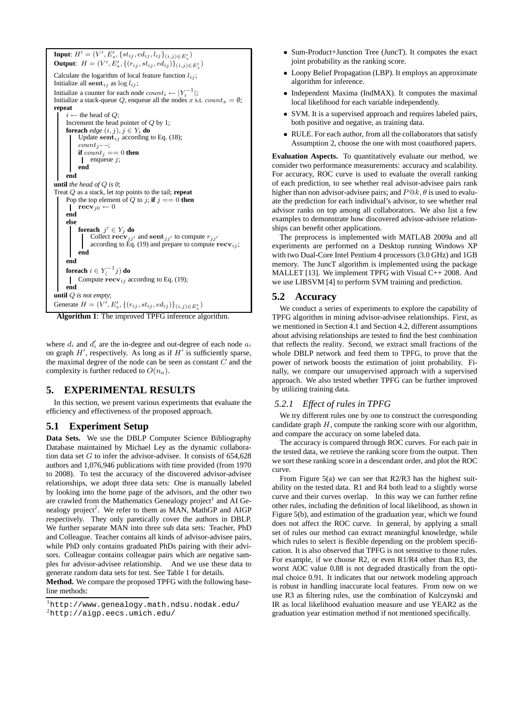**Input**:  $H' = (V', E'_s, \{st_{ij}, ed_{ij}, l_{ij}\}_{(i,j) \in E'_s})$ **Output**:  $H = (V', E'_s, \{(r_{ij}, st_{ij}, ed_{ij})\}_{(i,j) \in E'_s})$ Calculate the logarithm of local feature function  $l_{ij}$ ; Initialize all sent $_{ij}$  as log  $l_{ij}$ ; Initialize a counter for each node  $count_i \leftarrow |Y_i^{-1}|;$ Initialize a stack-queue Q, enqueue all the nodes x s.t.  $count_x = \emptyset$ ; **repeat**  $i \leftarrow$  the head of Q; Increment the head pointer of Q by 1; **foreach**  $edge(i, j), j \in Y_i$  **do**<br>
Update **sent**<sub>ij</sub> according to Eq. (18);  $count_{i}$  – –; **if**  $count_i == 0$  **then** enqueue  $i$ : **end end until** *the head of* Q *is 0*; Treat Q as a stack, let *top* points to the tail; **repeat** Pop the top element of Q to j; **if**  $j == 0$  **then**  $\mathbf{I}$  $\operatorname{recv}_{i0} \leftarrow 0$ **end else foreach**  $j' \in Y_j$  **do**<br>
Collect **recv**<sub>jj'</sub> and **sent**<sub>jj'</sub> to compute  $r_{jj'}$ according to Eq. (19) and prepare to compute  $\mathbf{recv}_{ij}$ ; **end end**  $\textbf{for each}\ i \in Y^{-1}_\leftarrow j) \ \textbf{do}$ Compute  $\operatorname{recv}_{ij}$  according to Eq. (19);  $\mathbf{I}$ **end until** Q *is not empty*; Generate  $H = (V', E'_{s}, \{(r_{ij}, st_{ij}, ed_{ij})\}_{(i,j) \in E'_{s}})$ 



where  $d_i$  and  $d'_i$  are the in-degree and out-degree of each node  $a_i$ on graph  $H'$ , respectively. As long as if  $H'$  is sufficiently sparse, the maximal degree of the node can be seen as constant  $C$  and the complexity is further reduced to  $O(n_a)$ .

# **5. EXPERIMENTAL RESULTS**

In this section, we present various experiments that evaluate the efficiency and effectiveness of the proposed approach.

# **5.1 Experiment Setup**

**Data Sets.** We use the DBLP Computer Science Bibliography Database maintained by Michael Ley as the dynamic collaboration data set  $G$  to infer the advisor-advisee. It consists of  $654,628$ authors and 1,076,946 publications with time provided (from 1970 to 2008). To test the accuracy of the discovered advisor-advisee relationships, we adopt three data sets: One is manually labeled by looking into the home page of the advisors, and the other two are crawled from the Mathematics Genealogy project<sup>1</sup> and AI Genealogy project<sup>2</sup>. We refer to them as MAN, MathGP and AIGP respectively. They only paretically cover the authors in DBLP. We further separate MAN into three sub data sets: Teacher, PhD and Colleague. Teacher contains all kinds of advisor-advisee pairs, while PhD only contains graduated PhDs pairing with their advisors. Colleague contains colleague pairs which are negative samples for advisor-advisee relationship. And we use these data to generate random data sets for test. See Table 1 for details.

**Method.** We compare the proposed TPFG with the following baseline methods:

- Sum-Product+Junction Tree (JuncT). It computes the exact joint probability as the ranking score.
- Loopy Belief Propagation (LBP). It employs an approximate algorithm for inference.
- Independent Maxima (IndMAX). It computes the maximal local likelihood for each variable independently.
- SVM. It is a supervised approach and requires labeled pairs, both positive and negative, as training data.
- RULE. For each author, from all the collaborators that satisfy Assumption 2, choose the one with most coauthored papers.

**Evaluation Aspects.** To quantitatively evaluate our method, we consider two performance measurements: accuracy and scalability. For accuracy, ROC curve is used to evaluate the overall ranking of each prediction, to see whether real advisor-advisee pairs rank higher than non advisor-advisee pairs; and  $P@k, \theta$  is used to evaluate the prediction for each individual's advisor, to see whether real advisor ranks on top among all collaborators. We also list a few examples to demonstrate how discovered advisor-advisee relationships can benefit other applications.

The preprocess is implemented with MATLAB 2009a and all experiments are performed on a Desktop running Windows XP with two Dual-Core Intel Pentium 4 processors (3.0 GHz) and 1GB memory. The JuncT algorithm is implemented using the package MALLET [13]. We implement TPFG with Visual C++ 2008. And we use LIBSVM [4] to perform SVM training and prediction.

# **5.2 Accuracy**

We conduct a series of experiments to explore the capability of TPFG algorithm in mining advisor-advisee relationships. First, as we mentioned in Section 4.1 and Section 4.2, different assumptions about advising relationships are tested to find the best combination that reflects the reality. Second, we extract small fractions of the whole DBLP network and feed them to TPFG, to prove that the power of network boosts the estimation of joint probability. Finally, we compare our unsupervised approach with a supervised approach. We also tested whether TPFG can be further improved by utilizing training data.

#### *5.2.1 Effect of rules in TPFG*

We try different rules one by one to construct the corresponding candidate graph  $H$ , compute the ranking score with our algorithm, and compare the accuracy on some labeled data.

The accuracy is compared through ROC curves. For each pair in the tested data, we retrieve the ranking score from the output. Then we sort these ranking score in a descendant order, and plot the ROC curve.

From Figure 5(a) we can see that R2/R3 has the highest suitability on the tested data. R1 and R4 both lead to a slightly worse curve and their curves overlap. In this way we can further refine other rules, including the definition of local likelihood, as shown in Figure 5(b), and estimation of the graduation year, which we found does not affect the ROC curve. In general, by applying a small set of rules our method can extract meaningful knowledge, while which rules to select is flexible depending on the problem specification. It is also observed that TPFG is not sensitive to those rules. For example, if we choose R2, or even R1/R4 other than R3, the worst AOC value 0.88 is not degraded drastically from the optimal choice 0.91. It indicates that our network modeling approach is robust in handling inaccurate local features. From now on we use R3 as filtering rules, use the combination of Kulczynski and IR as local likelihood evaluation measure and use YEAR2 as the graduation year estimation method if not mentioned specifically.

<sup>1</sup>http://www.genealogy.math.ndsu.nodak.edu/

 ${}^{2}$ http://aigp.eecs.umich.edu/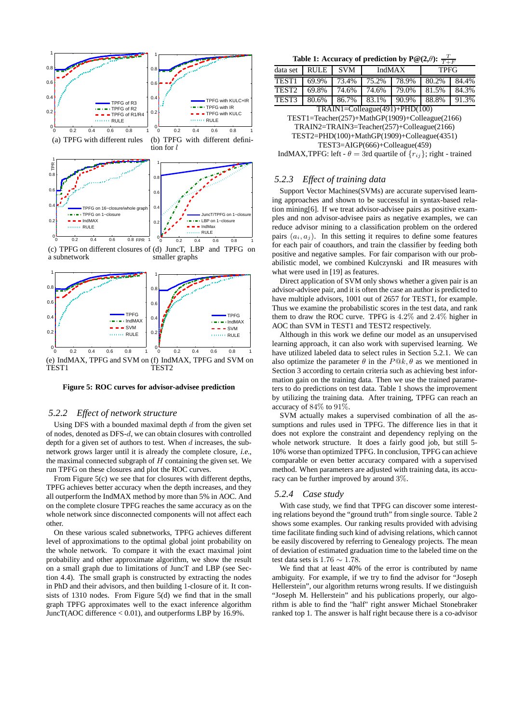

(c) TPFG on different closures of (d) JuncT, LBP and TPFG on a subnetwork smaller graphs



**Figure 5: ROC curves for advisor-advisee prediction**

#### *5.2.2 Effect of network structure*

Using DFS with a bounded maximal depth  $d$  from the given set of nodes, denoted as DFS-d, we can obtain closures with controlled depth for a given set of authors to test. When  $d$  increases, the subnetwork grows larger until it is already the complete closure, i.e., the maximal connected subgraph of  $H$  containing the given set. We run TPFG on these closures and plot the ROC curves.

From Figure 5(c) we see that for closures with different depths, TPFG achieves better accuracy when the depth increases, and they all outperform the IndMAX method by more than 5% in AOC. And on the complete closure TPFG reaches the same accuracy as on the whole network since disconnected components will not affect each other.

On these various scaled subnetworks, TPFG achieves different level of approximations to the optimal global joint probability on the whole network. To compare it with the exact maximal joint probability and other approximate algorithm, we show the result on a small graph due to limitations of JuncT and LBP (see Section 4.4). The small graph is constructed by extracting the nodes in PhD and their advisors, and then building 1-closure of it. It consists of 1310 nodes. From Figure 5(d) we find that in the small graph TPFG approximates well to the exact inference algorithm JuncT(AOC difference < 0.01), and outperforms LBP by 16.9%.

Table 1: Accuracy of prediction by P@(2, $\theta$ ):  $\frac{T}{T+F}$ 

|                                      |             |            |               |       | $\cdots$    |       |  |
|--------------------------------------|-------------|------------|---------------|-------|-------------|-------|--|
| data set                             | <b>RULE</b> | <b>SVM</b> | <b>IndMAX</b> |       | <b>TPFG</b> |       |  |
| TEST <sub>1</sub>                    | 69.9%       | 73.4%      | 75.2%         | 78.9% | 80.2%       | 84.4% |  |
| TEST <sub>2</sub>                    | 69.8%       | 74.6%      | 74.6%         | 79.0% | 81.5%       | 84.3% |  |
| TEST3                                | 80.6%       | 86.7%      | 83.1%         | 90.9% | 88.8%       | 91.3% |  |
| $TRAIN1 = Colleague(491) + PHD(100)$ |             |            |               |       |             |       |  |

TEST1=Teacher(257)+MathGP(1909)+Colleague(2166)

TRAIN2=TRAIN3=Teacher(257)+Colleague(2166)

TEST2=PHD(100)+MathGP(1909)+Colleague(4351)

TEST3=AIGP(666)+Colleague(459)

IndMAX,TPFG: left -  $\theta = 3$ rd quartile of  $\{r_{ij}\}\$ ; right - trained

#### *5.2.3 Effect of training data*

Support Vector Machines(SVMs) are accurate supervised learning approaches and shown to be successful in syntax-based relation mining[6]. If we treat advisor-advisee pairs as positive examples and non advisor-advisee pairs as negative examples, we can reduce advisor mining to a classification problem on the ordered pairs  $(a_i, a_j)$ . In this setting it requires to define some features for each pair of coauthors, and train the classifier by feeding both positive and negative samples. For fair comparison with our probabilistic model, we combined Kulczynski and IR measures with what were used in [19] as features.

Direct application of SVM only shows whether a given pair is an advisor-advisee pair, and it is often the case an author is predicted to have multiple advisors, 1001 out of 2657 for TEST1, for example. Thus we examine the probabilistic scores in the test data, and rank them to draw the ROC curve. TPFG is 4.2% and 2.4% higher in AOC than SVM in TEST1 and TEST2 respectively.

Although in this work we define our model as an unsupervised learning approach, it can also work with supervised learning. We have utilized labeled data to select rules in Section 5.2.1. We can also optimize the parameter  $\theta$  in the  $P@k, \theta$  as we mentioned in Section 3 according to certain criteria such as achieving best information gain on the training data. Then we use the trained parameters to do predictions on test data. Table 1 shows the improvement by utilizing the training data. After training, TPFG can reach an accuracy of 84% to 91%.

SVM actually makes a supervised combination of all the assumptions and rules used in TPFG. The difference lies in that it does not explore the constraint and dependency replying on the whole network structure. It does a fairly good job, but still 5- 10% worse than optimized TPFG. In conclusion, TPFG can achieve comparable or even better accuracy compared with a supervised method. When parameters are adjusted with training data, its accuracy can be further improved by around 3%.

#### *5.2.4 Case study*

With case study, we find that TPFG can discover some interesting relations beyond the "ground truth" from single source. Table 2 shows some examples. Our ranking results provided with advising time facilitate finding such kind of advising relations, which cannot be easily discovered by referring to Genealogy projects. The mean of deviation of estimated graduation time to the labeled time on the test data sets is 1.76  $\sim$  1.78.

We find that at least 40% of the error is contributed by name ambiguity. For example, if we try to find the advisor for "Joseph Hellerstein", our algorithm returns wrong results. If we distinguish "Joseph M. Hellerstein" and his publications properly, our algorithm is able to find the "half" right answer Michael Stonebraker ranked top 1. The answer is half right because there is a co-advisor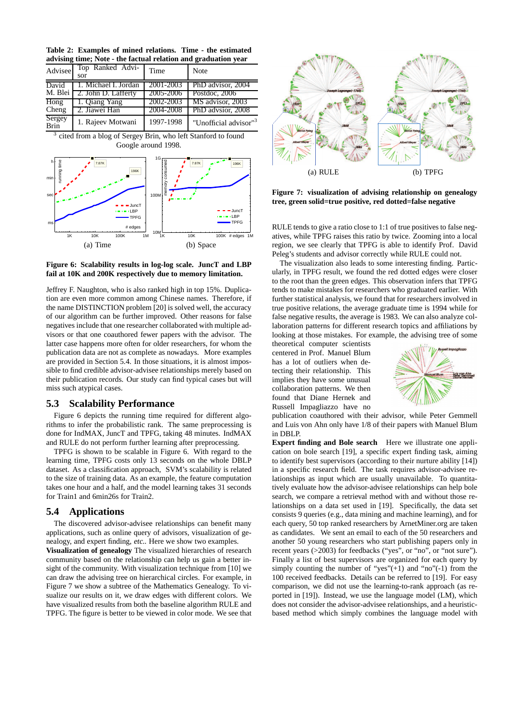**Table 2: Examples of mined relations. Time - the estimated advising time; Note - the factual relation and graduation year**

| Advisee                  | Top Ranked Advi-<br>sor | Time      | Note                              |
|--------------------------|-------------------------|-----------|-----------------------------------|
| David                    | 1. Michael I. Jordan    | 2001-2003 | PhD advisor, 2004                 |
| M. Blei                  | 2. John D. Lafferty     | 2005-2006 | Postdoc, 2006                     |
| $\overline{\text{Hong}}$ | 1. Qiang Yang           | 2002-2003 | MS advisor, 2003                  |
| Cheng                    | 2. Jiawei Han           | 2004-2008 | PhD advsior, 2008                 |
| Sergey<br>Brin           | 1. Rajeev Motwani       | 1997-1998 | "Unofficial advisor" <sup>3</sup> |

<sup>&</sup>lt;sup>3</sup> cited from a blog of Sergey Brin, who left Stanford to found Google around 1998.



**Figure 6: Scalability results in log-log scale. JuncT and LBP fail at 10K and 200K respectively due to memory limitation.**

Jeffrey F. Naughton, who is also ranked high in top 15%. Duplication are even more common among Chinese names. Therefore, if the name DISTINCTION problem [20] is solved well, the accuracy of our algorithm can be further improved. Other reasons for false negatives include that one researcher collaborated with multiple advisors or that one coauthored fewer papers with the advisor. The latter case happens more often for older researchers, for whom the publication data are not as complete as nowadays. More examples are provided in Section 5.4. In those situations, it is almost impossible to find credible advisor-advisee relationships merely based on their publication records. Our study can find typical cases but will miss such atypical cases.

### **5.3 Scalability Performance**

Figure 6 depicts the running time required for different algorithms to infer the probabilistic rank. The same preprocessing is done for IndMAX, JuncT and TPFG, taking 48 minutes. IndMAX and RULE do not perform further learning after preprocessing.

TPFG is shown to be scalable in Figure 6. With regard to the learning time, TPFG costs only 13 seconds on the whole DBLP dataset. As a classification approach, SVM's scalability is related to the size of training data. As an example, the feature computation takes one hour and a half, and the model learning takes 31 seconds for Train1 and 6min26s for Train2.

#### **5.4 Applications**

The discovered advisor-advisee relationships can benefit many applications, such as online query of advisors, visualization of genealogy, and expert finding, etc.. Here we show two examples.

**Visualization of genealogy** The visualized hierarchies of research community based on the relationship can help us gain a better insight of the community. With visualization technique from [10] we can draw the advising tree on hierarchical circles. For example, in Figure 7 we show a subtree of the Mathematics Genealogy. To visualize our results on it, we draw edges with different colors. We have visualized results from both the baseline algorithm RULE and TPFG. The figure is better to be viewed in color mode. We see that



**Figure 7: visualization of advising relationship on genealogy tree, green solid=true positive, red dotted=false negative**

RULE tends to give a ratio close to 1:1 of true positives to false negatives, while TPFG raises this ratio by twice. Zooming into a local region, we see clearly that TPFG is able to identify Prof. David Peleg's students and advisor correctly while RULE could not.

The visualization also leads to some interesting finding. Particularly, in TPFG result, we found the red dotted edges were closer to the root than the green edges. This observation infers that TPFG tends to make mistakes for researchers who graduated earlier. With further statistical analysis, we found that for researchers involved in true positive relations, the average graduate time is 1994 while for false negative results, the average is 1983. We can also analyze collaboration patterns for different research topics and affiliations by looking at those mistakes. For example, the advising tree of some

theoretical computer scientists centered in Prof. Manuel Blum has a lot of outliers when detecting their relationship. This implies they have some unusual collaboration patterns. We then found that Diane Hernek and Russell Impagliazzo have no



publication coauthored with their advisor, while Peter Gemmell and Luis von Ahn only have 1/8 of their papers with Manuel Blum in DBLP.

**Expert finding and Bole search** Here we illustrate one application on bole search [19], a specific expert finding task, aiming to identify best supervisors (according to their nurture ability [14]) in a specific research field. The task requires advisor-advisee relationships as input which are usually unavailable. To quantitatively evaluate how the advisor-advisee relationships can help bole search, we compare a retrieval method with and without those relationships on a data set used in [19]. Specifically, the data set consists 9 queries (e.g., data mining and machine learning), and for each query, 50 top ranked researchers by ArnetMiner.org are taken as candidates. We sent an email to each of the 50 researchers and another 50 young researchers who start publishing papers only in recent years (>2003) for feedbacks ("yes", or "no", or "not sure"). Finally a list of best supervisors are organized for each query by simply counting the number of "yes" $(+1)$  and "no" $(-1)$  from the 100 received feedbacks. Details can be referred to [19]. For easy comparison, we did not use the learning-to-rank approach (as reported in [19]). Instead, we use the language model (LM), which does not consider the advisor-advisee relationships, and a heuristicbased method which simply combines the language model with